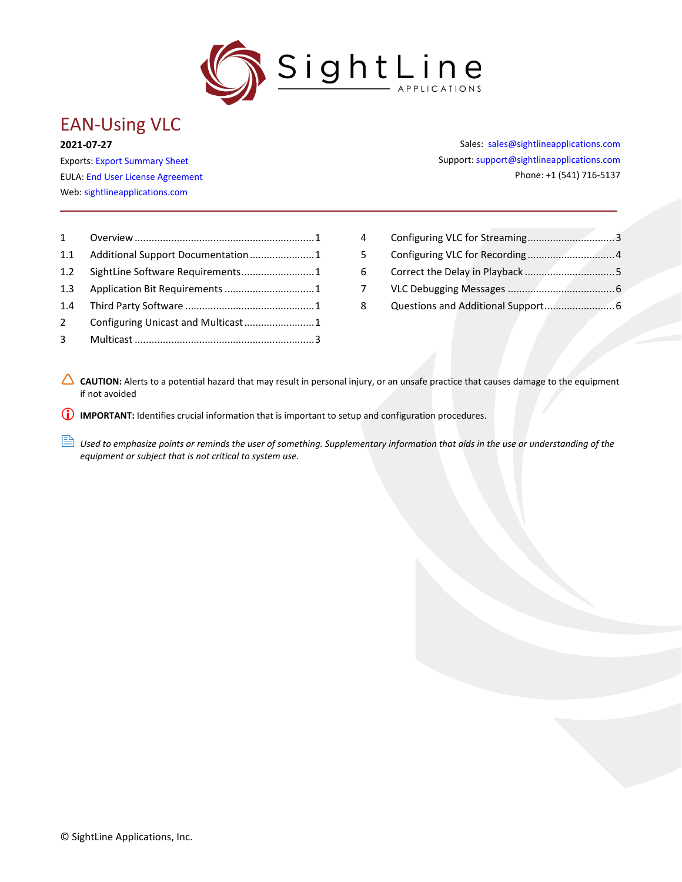

# EAN-Using VLC

#### **2021-07-27**

Exports: [Export Summary Sheet](https://sightlineapplications.com/wp-content/uploads/Exports-Summary.pdf) EULA[: End User License Agreement](https://sightlineapplications.com/wp-content/uploads/SightLine-Product-License.pdf) Web[: sightlineapplications.com](http://sightlineapplications.com/support/software/)

| $1 \quad \Box$ |  |
|----------------|--|
|                |  |
|                |  |
|                |  |
|                |  |
|                |  |
| $\overline{3}$ |  |
|                |  |

Sales: [sales@sightlineapplications.com](mailto:sales@sightlineapplications.com) Support[: support@sightlineapplications.com](mailto:support@sightlineapplications.com) Phone: +1 (541) 716-5137

| 4  |  |
|----|--|
| 5. |  |
| 6. |  |
| 7  |  |
| 8  |  |

CAUTION: Alerts to a potential hazard that may result in personal injury, or an unsafe practice that causes damage to the equipment if not avoided

**IMPORTANT:** Identifies crucial information that is important to setup and configuration procedures.

**B** Used to emphasize points or reminds the user of something. Supplementary information that aids in the use or understanding of the *equipment or subject that is not critical to system use.*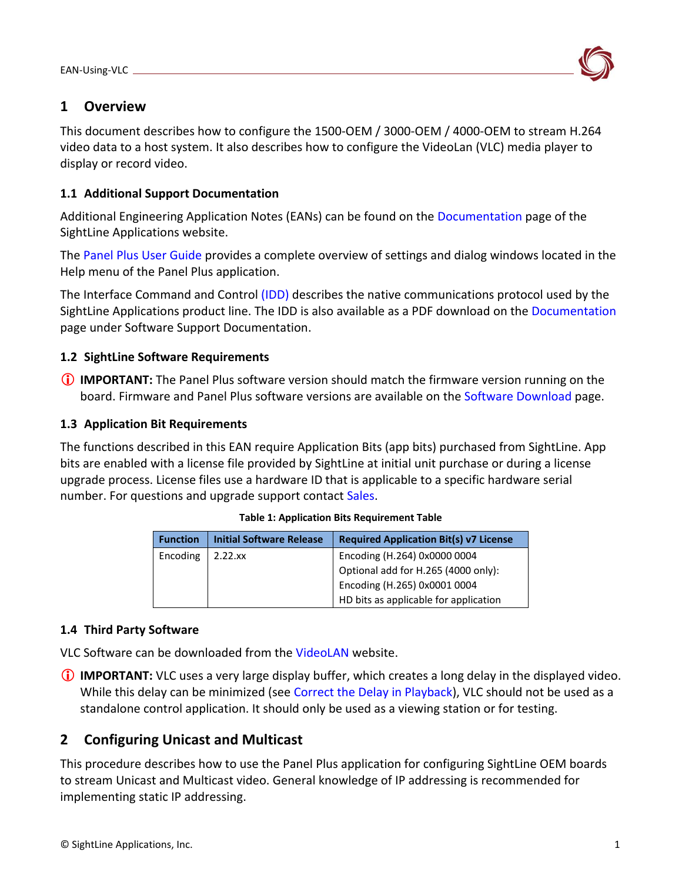

### <span id="page-1-0"></span>**1 Overview**

This document describes how to configure the 1500-OEM / 3000-OEM / 4000-OEM to stream H.264 video data to a host system. It also describes how to configure the VideoLan (VLC) media player to display or record video.

#### <span id="page-1-1"></span>**1.1 Additional Support Documentation**

Additional Engineering Application Notes (EANs) can be found on the [Documentation](https://sightlineapplications.com/documentation/) page of the SightLine Applications website.

The [Panel Plus User Guide](https://sightlineapplications.com/downloads/) provides a complete overview of settings and dialog windows located in the Help menu of the Panel Plus application.

The Interface Command and Control [\(IDD\)](http://sightlineapplications.com/idd/) describes the native communications protocol used by the SightLine Applications product line. The IDD is also available as a PDF download on the [Documentation](https://sightlineapplications.com/documentation/) page under Software Support Documentation.

### <span id="page-1-2"></span>**1.2 SightLine Software Requirements**

 **IMPORTANT:** The Panel Plus software version should match the firmware version running on the board. Firmware and Panel Plus software versions are available on the [Software Download](https://sightlineapplications.com/downloads/) page.

#### <span id="page-1-3"></span>**1.3 Application Bit Requirements**

The functions described in this EAN require Application Bits (app bits) purchased from SightLine. App bits are enabled with a license file provided by SightLine at initial unit purchase or during a license upgrade process. License files use a hardware ID that is applicable to a specific hardware serial number. For questions and upgrade support contact [Sales.](mailto:sales@sightlineapplications.com)

| <b>Function</b> | <b>Initial Software Release</b> | <b>Required Application Bit(s) v7 License</b> |
|-----------------|---------------------------------|-----------------------------------------------|
| Encoding        | $2.22$ .xx                      | Encoding (H.264) 0x0000 0004                  |
|                 |                                 | Optional add for H.265 (4000 only):           |
|                 |                                 | Encoding (H.265) 0x0001 0004                  |
|                 |                                 | HD bits as applicable for application         |

#### **Table 1: Application Bits Requirement Table**

#### <span id="page-1-4"></span>**1.4 Third Party Software**

VLC Software can be downloaded from the [VideoLAN](http://www.videolan.org/) website.

 **IMPORTANT:** VLC uses a very large display buffer, which creates a long delay in the displayed video. While this delay can be minimized (see [Correct the Delay in Playback\)](#page-5-0), VLC should not be used as a standalone control application. It should only be used as a viewing station or for testing.

## <span id="page-1-5"></span>**2 Configuring Unicast and Multicast**

This procedure describes how to use the Panel Plus application for configuring SightLine OEM boards to stream Unicast and Multicast video. General knowledge of IP addressing is recommended for implementing static IP addressing.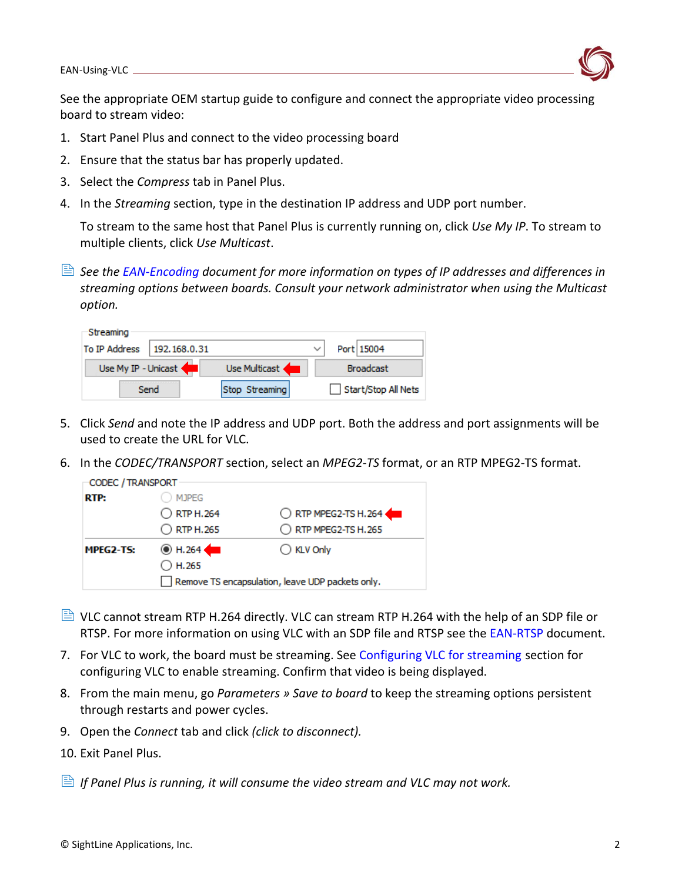**Charles Company** 

See the appropriate OEM startup guide to configure and connect the appropriate video processing board to stream video:

- 1. Start Panel Plus and connect to the video processing board
- 2. Ensure that the status bar has properly updated.
- 3. Select the *Compress* tab in Panel Plus.
- 4. In the *Streaming* section, type in the destination IP address and UDP port number.

To stream to the same host that Panel Plus is currently running on, click *Use My IP*. To stream to multiple clients, click *Use Multicast*.

 *See the [EAN-Encoding](http://sightlineapplications.com/wp-content/uploads/EAN-Encoding.pdf) document for more information on types of IP addresses and differences in streaming options between boards. Consult your network administrator when using the Multicast option.*

| Suedining     |                     |                |              |                     |
|---------------|---------------------|----------------|--------------|---------------------|
| To IP Address | 192.168.0.31        |                | $\checkmark$ | Port 15004          |
|               | Use My IP - Unicast | Use Multicast  |              | <b>Broadcast</b>    |
|               | Send                | Stop Streaming |              | Start/Stop All Nets |

- 5. Click *Send* and note the IP address and UDP port. Both the address and port assignments will be used to create the URL for VLC.
- 6. In the *CODEC/TRANSPORT* section, select an *MPEG2-TS* format, or an RTP MPEG2-TS format.

| CODEC / TRANSPORT |                                                  |                     |
|-------------------|--------------------------------------------------|---------------------|
| RTP:              | <b>MJPEG</b>                                     |                     |
|                   | O RTP H.264                                      | RTP MPEG2-TS H.264  |
|                   | $\bigcirc$ RTP H.265                             | RTP MPEG2-TS H.265  |
| MPEG2-TS:         | $\odot$ H.264                                    | $\bigcirc$ KLV Only |
|                   | $\bigcirc$ H.265                                 |                     |
|                   | Remove TS encapsulation, leave UDP packets only. |                     |

- $\Box$  VLC cannot stream RTP H.264 directly. VLC can stream RTP H.264 with the help of an SDP file or RTSP. For more information on using VLC with an SDP file and RTSP see the [EAN-RTSP](http://sightlineapplications.com/wp-content/uploads/EAN-RTSP.pdf) document.
- 7. For VLC to work, the board must be streaming. See [Configuring VLC for streaming](#page-3-1) section for configuring VLC to enable streaming. Confirm that video is being displayed.
- 8. From the main menu, go *Parameters » Save to board* to keep the streaming options persistent through restarts and power cycles.
- 9. Open the *Connect* tab and click *(click to disconnect).*
- 10. Exit Panel Plus.
- *If Panel Plus is running, it will consume the video stream and VLC may not work.*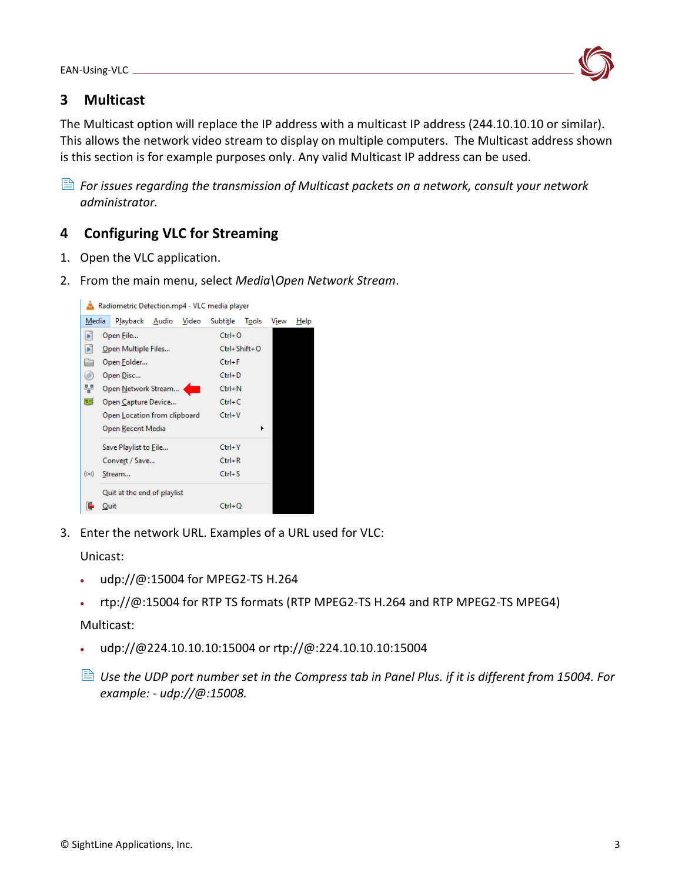

## <span id="page-3-0"></span>**3 Multicast**

The Multicast option will replace the IP address with a multicast IP address (244.10.10.10 or similar). This allows the network video stream to display on multiple computers. The Multicast address shown is this section is for example purposes only. Any valid Multicast IP address can be used.

*For issues regarding the transmission of Multicast packets on a network, consult your network* $\blacksquare$ *administrator.*

### <span id="page-3-1"></span>**4 Configuring VLC for Streaming**

- 1. Open the VLC application.
- 2. From the main menu, select *Media\Open Network Stream*.



3. Enter the network URL. Examples of a URL used for VLC:

Unicast:

- udp://@:15004 for MPEG2-TS H.264
- rtp://@:15004 for RTP TS formats (RTP MPEG2-TS H.264 and RTP MPEG2-TS MPEG4)

#### Multicast:

- udp://@224.10.10.10:15004 or rtp://@:224.10.10.10:15004
- *Use the UDP port number set in the Compress tab in Panel Plus. if it is different from 15004. For example: - udp://@:15008.*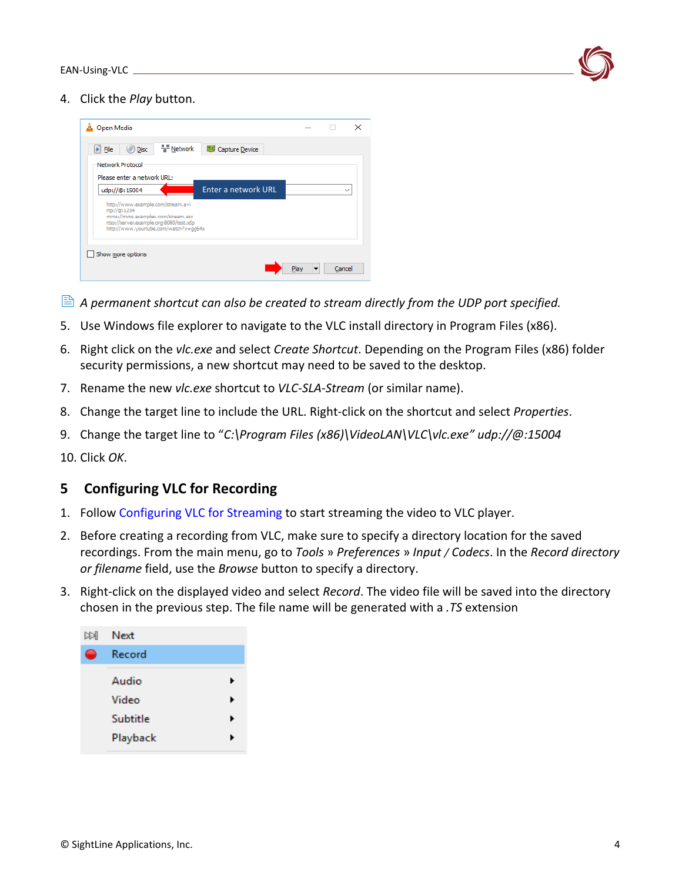

4. Click the *Play* button.



- **A** permanent shortcut can also be created to stream directly from the UDP port specified.
- 5. Use Windows file explorer to navigate to the VLC install directory in Program Files (x86).
- 6. Right click on the *vlc.exe* and select *Create Shortcut*. Depending on the Program Files (x86) folder security permissions, a new shortcut may need to be saved to the desktop.
- 7. Rename the new *vlc.exe* shortcut to *VLC-SLA-Stream* (or similar name).
- 8. Change the target line to include the URL. Right-click on the shortcut and select *Properties*.
- 9. Change the target line to "*C:\Program Files (x86)\VideoLAN\VLC\vlc.exe" udp://@:15004*

10. Click *OK*.

#### <span id="page-4-0"></span>**5 Configuring VLC for Recording**

- 1. Follow [Configuring VLC for Streaming](#page-3-1) to start streaming the video to VLC player.
- 2. Before creating a recording from VLC, make sure to specify a directory location for the saved recordings. From the main menu, go to *Tools* » *Preferences* » *Input / Codecs*. In the *Record directory or filename* field, use the *Browse* button to specify a directory.
- 3. Right-click on the displayed video and select *Record*. The video file will be saved into the directory chosen in the previous step. The file name will be generated with a *.TS* extension

| doi | Next     |   |
|-----|----------|---|
|     | Record   |   |
|     | Audio    |   |
|     | Video    |   |
|     | Subtitle | ▶ |
|     | Playback |   |
|     |          |   |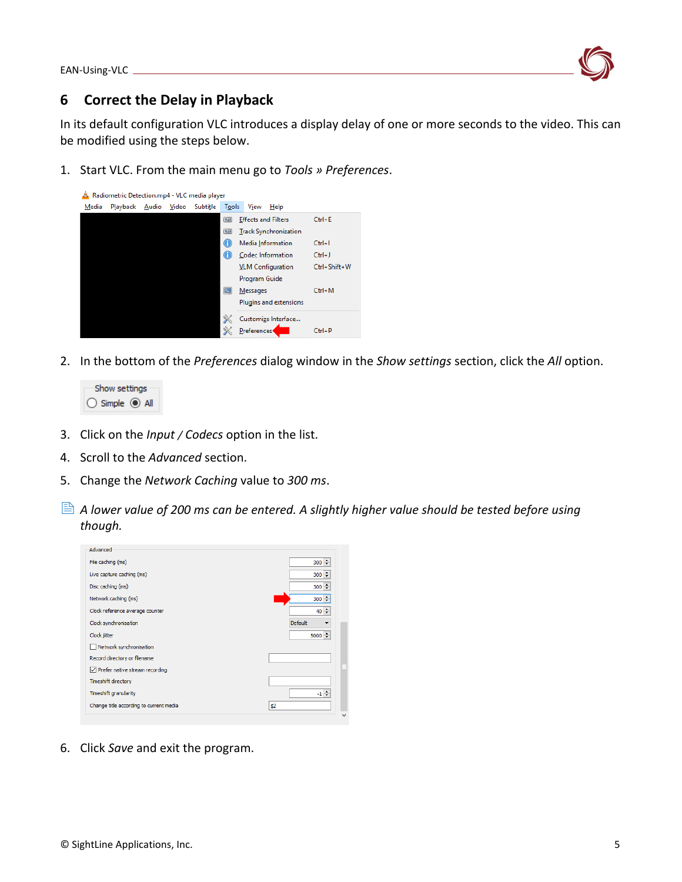

### <span id="page-5-0"></span>**6 Correct the Delay in Playback**

In its default configuration VLC introduces a display delay of one or more seconds to the video. This can be modified using the steps below.

1. Start VLC. From the main menu go to *Tools » Preferences*.



2. In the bottom of the *Preferences* dialog window in the *Show settings* section, click the *All* option.



- 3. Click on the *Input / Codecs* option in the list.
- 4. Scroll to the *Advanced* section.
- 5. Change the *Network Caching* value to *300 ms*.
- *<sup>A</sup> lower value of 200 ms can be entered. A slightly higher value should be tested before using though.*



6. Click *Save* and exit the program.